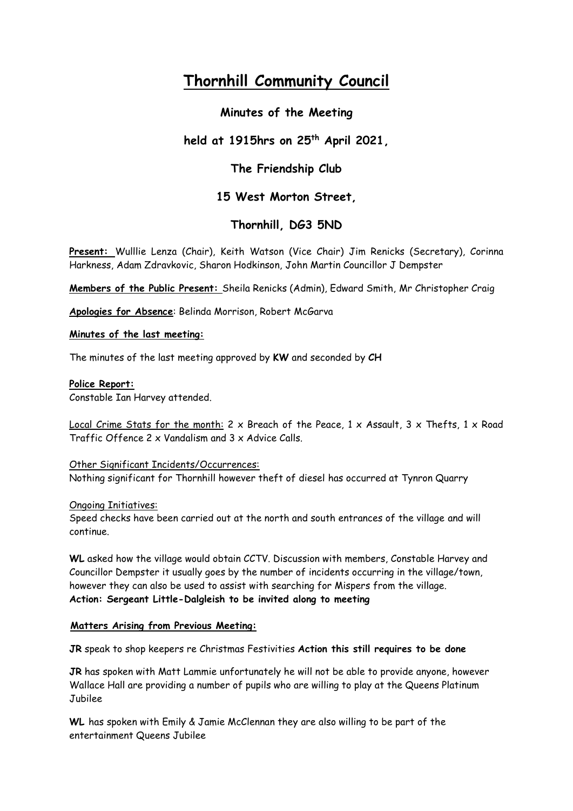# **Thornhill Community Council**

# **Minutes of the Meeting**

# **held at 1915hrs on 25th April 2021,**

# **The Friendship Club**

## **15 West Morton Street,**

# **Thornhill, DG3 5ND**

**Present:** Wulllie Lenza (Chair), Keith Watson (Vice Chair) Jim Renicks (Secretary), Corinna Harkness, Adam Zdravkovic, Sharon Hodkinson, John Martin Councillor J Dempster

**Members of the Public Present:** Sheila Renicks (Admin), Edward Smith, Mr Christopher Craig

**Apologies for Absence**: Belinda Morrison, Robert McGarva

### **Minutes of the last meeting:**

The minutes of the last meeting approved by **KW** and seconded by **CH**

### **Police Report:**

Constable Ian Harvey attended.

Local Crime Stats for the month: 2  $\times$  Breach of the Peace, 1  $\times$  Assault, 3  $\times$  Thefts, 1  $\times$  Road Traffic Offence 2 x Vandalism and 3 x Advice Calls.

### Other Significant Incidents/Occurrences:

Nothing significant for Thornhill however theft of diesel has occurred at Tynron Quarry

### Ongoing Initiatives:

Speed checks have been carried out at the north and south entrances of the village and will continue.

**WL** asked how the village would obtain CCTV. Discussion with members, Constable Harvey and Councillor Dempster it usually goes by the number of incidents occurring in the village/town, however they can also be used to assist with searching for Mispers from the village. **Action: Sergeant Little-Dalgleish to be invited along to meeting**

### **Matters Arising from Previous Meeting:**

**JR** speak to shop keepers re Christmas Festivities **Action this still requires to be done**

**JR** has spoken with Matt Lammie unfortunately he will not be able to provide anyone, however Wallace Hall are providing a number of pupils who are willing to play at the Queens Platinum Jubilee

**WL** has spoken with Emily & Jamie McClennan they are also willing to be part of the entertainment Queens Jubilee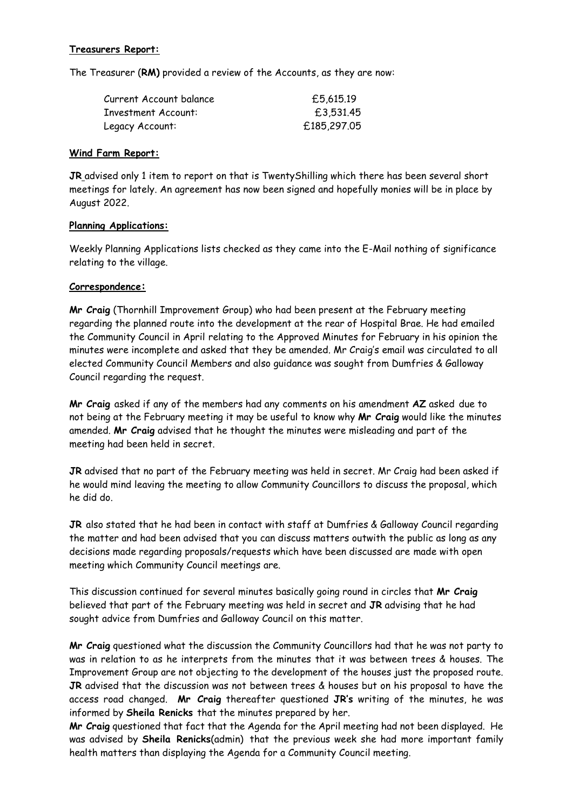### **Treasurers Report:**

The Treasurer (**RM)** provided a review of the Accounts, as they are now:

| Current Account balance    | £5,615.19   |
|----------------------------|-------------|
| <b>Investment Account:</b> | £3,531,45   |
| Legacy Account:            | £185,297.05 |

#### **Wind Farm Report:**

**JR** advised only 1 item to report on that is TwentyShilling which there has been several short meetings for lately. An agreement has now been signed and hopefully monies will be in place by August 2022.

#### **Planning Applications:**

Weekly Planning Applications lists checked as they came into the E-Mail nothing of significance relating to the village.

#### **Correspondence:**

**Mr Craig** (Thornhill Improvement Group) who had been present at the February meeting regarding the planned route into the development at the rear of Hospital Brae. He had emailed the Community Council in April relating to the Approved Minutes for February in his opinion the minutes were incomplete and asked that they be amended. Mr Craig's email was circulated to all elected Community Council Members and also guidance was sought from Dumfries & Galloway Council regarding the request.

**Mr Craig** asked if any of the members had any comments on his amendment **AZ** asked due to not being at the February meeting it may be useful to know why **Mr Craig** would like the minutes amended. **Mr Craig** advised that he thought the minutes were misleading and part of the meeting had been held in secret.

**JR** advised that no part of the February meeting was held in secret. Mr Craig had been asked if he would mind leaving the meeting to allow Community Councillors to discuss the proposal, which he did do.

**JR** also stated that he had been in contact with staff at Dumfries & Galloway Council regarding the matter and had been advised that you can discuss matters outwith the public as long as any decisions made regarding proposals/requests which have been discussed are made with open meeting which Community Council meetings are.

This discussion continued for several minutes basically going round in circles that **Mr Craig** believed that part of the February meeting was held in secret and **JR** advising that he had sought advice from Dumfries and Galloway Council on this matter.

**Mr Craig** questioned what the discussion the Community Councillors had that he was not party to was in relation to as he interprets from the minutes that it was between trees & houses. The Improvement Group are not objecting to the development of the houses just the proposed route. **JR** advised that the discussion was not between trees & houses but on his proposal to have the access road changed. **Mr Craig** thereafter questioned **JR's** writing of the minutes, he was informed by **Sheila Renicks** that the minutes prepared by her.

**Mr Craig** questioned that fact that the Agenda for the April meeting had not been displayed. He was advised by **Sheila Renicks**(admin) that the previous week she had more important family health matters than displaying the Agenda for a Community Council meeting.